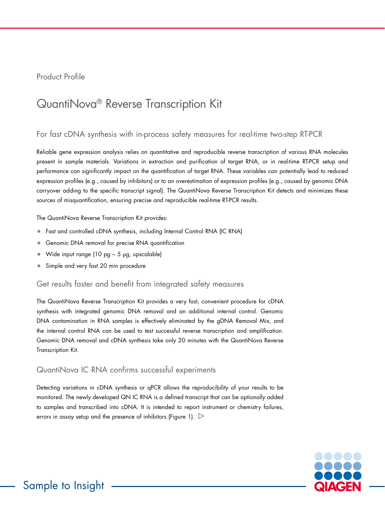Product Profile

# QuantiNova® Reverse Transcription Kit

# For fast cDNA synthesis with in-process safety measures for real-time two-step RT-PCR

Reliable gene expression analysis relies on quantitative and reproducible reverse transcription of various RNA molecules present in sample materials. Variations in extraction and purification of target RNA, or in real-time RT-PCR setup and performance can significantly impact on the quantification of target RNA. These variables can potentially lead to reduced expression profiles (e.g., caused by inhibitors) or to an overestimation of expression profiles (e.g., caused by genomic DNA carryover adding to the specific transcript signal). The QuantiNova Reverse Transcription Kit detects and minimizes these sources of misquantification, ensuring precise and reproducible real-time RT-PCR results.

The QuantiNova Reverse Transcription Kit provides:

- Fast and controlled cDNA synthesis, including Internal Control RNA (IC RNA)
- Genomic DNA removal for precise RNA quantification
- Wide input range (10 pg 5 µg, upscalable)
- Simple and very fast 20 min procedure

#### Get results faster and benefit from integrated safety measures

The QuantiNova Reverse Transcription Kit provides a very fast, convenient procedure for cDNA synthesis with integrated genomic DNA removal and an additional internal control. Genomic DNA contamination in RNA samples is effectively eliminated by the gDNA Removal Mix, and the internal control RNA can be used to test successful reverse transcription and amplification. Genomic DNA removal and cDNA synthesis take only 20 minutes with the QuantiNova Reverse Transcription Kit.

# QuantiNova IC RNA confirms successful experiments

Detecting variations in cDNA synthesis or qPCR allows the reproducibility of your results to be monitored. The newly developed QN IC RNA is a defined transcript that can be optionally added to samples and transcribed into cDNA. It is intended to report instrument or chemistry failures, errors in assay setup and the presence of inhibitors (Figure 1).  $\triangleright$ 

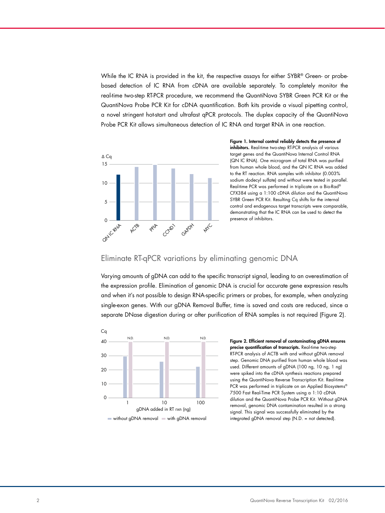While the IC RNA is provided in the kit, the respective assays for either SYBR® Green- or probebased detection of IC RNA from cDNA are available separately. To completely monitor the real-time two-step RT-PCR procedure, we recommend the QuantiNova SYBR Green PCR Kit or the QuantiNova Probe PCR Kit for cDNA quantification. Both kits provide a visual pipetting control, a novel stringent hot-start and ultrafast qPCR protocols. The duplex capacity of the QuantiNova Probe PCR Kit allows simultaneous detection of IC RNA and target RNA in one reaction.



Figure 1. Internal control reliably detects the presence of inhibitors. Real-time two-step RT-PCR analysis of various target genes and the QuantiNova Internal Control RNA (QN IC RNA). One microgram of total RNA was purified from human whole blood, and the QN IC RNA was added to the RT reaction. RNA samples with inhibitor (0.003% sodium dodecyl sulfate) and without were tested in parallel. Real-time PCR was performed in triplicate on a Bio-Rad® CFX384 using a 1:100 cDNA dilution and the QuantiNova SYBR Green PCR Kit. Resulting Cq shifts for the internal control and endogenous target transcripts were comparable, demonstrating that the IC RNA can be used to detect the presence of inhibitors.

#### Eliminate RT-qPCR variations by eliminating genomic DNA

Varying amounts of gDNA can add to the specific transcript signal, leading to an overestimation of the expression profile. Elimination of genomic DNA is crucial for accurate gene expression results and when it's not possible to design RNA-specific primers or probes, for example, when analyzing single-exon genes. With our gDNA Removal Buffer, time is saved and costs are reduced, since a separate DNase digestion during or after purification of RNA samples is not required (Figure 2).



#### Figure 2. Efficient removal of contaminating gDNA ensures precise quantification of transcripts. Real-time two-step RT-PCR analysis of ACTB with and without gDNA removal step. Genomic DNA purified from human whole blood was used. Different amounts of gDNA (100 ng, 10 ng, 1 ng) were spiked into the cDNA synthesis reactions prepared using the QuantiNova Reverse Transcription Kit. Real-time PCR was performed in triplicate on an Applied Biosystems® 7500 Fast Real-Time PCR System using a 1:10 cDNA dilution and the QuantiNova Probe PCR Kit. Without gDNA removal, genomic DNA contamination resulted in a strong signal. This signal was successfully eliminated by the integrated gDNA removal step (N.D. = not detected).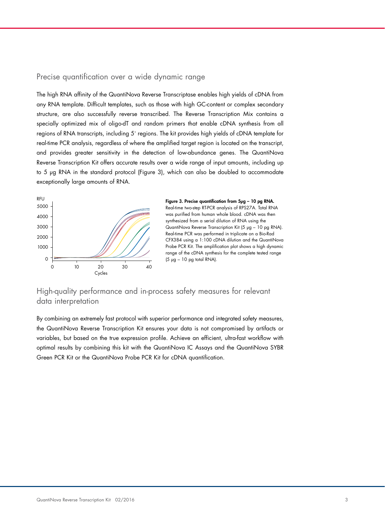### Precise quantification over a wide dynamic range

The high RNA affinity of the QuantiNova Reverse Transcriptase enables high yields of cDNA from any RNA template. Difficult templates, such as those with high GC-content or complex secondary structure, are also successfully reverse transcribed. The Reverse Transcription Mix contains a specially optimized mix of oligo-dT and random primers that enable cDNA synthesis from all regions of RNA transcripts, including 5' regions. The kit provides high yields of cDNA template for real-time PCR analysis, regardless of where the amplified target region is located on the transcript, and provides greater sensitivity in the detection of low-abundance genes. The QuantiNova Reverse Transcription Kit offers accurate results over a wide range of input amounts, including up to 5 µg RNA in the standard protocol (Figure 3), which can also be doubled to accommodate exceptionally large amounts of RNA.





## High-quality performance and in-process safety measures for relevant data interpretation

By combining an extremely fast protocol with superior performance and integrated safety measures, the QuantiNova Reverse Transcription Kit ensures your data is not compromised by artifacts or variables, but based on the true expression profile. Achieve an efficient, ultra-fast workflow with optimal results by combining this kit with the QuantiNova IC Assays and the QuantiNova SYBR Green PCR Kit or the QuantiNova Probe PCR Kit for cDNA quantification.